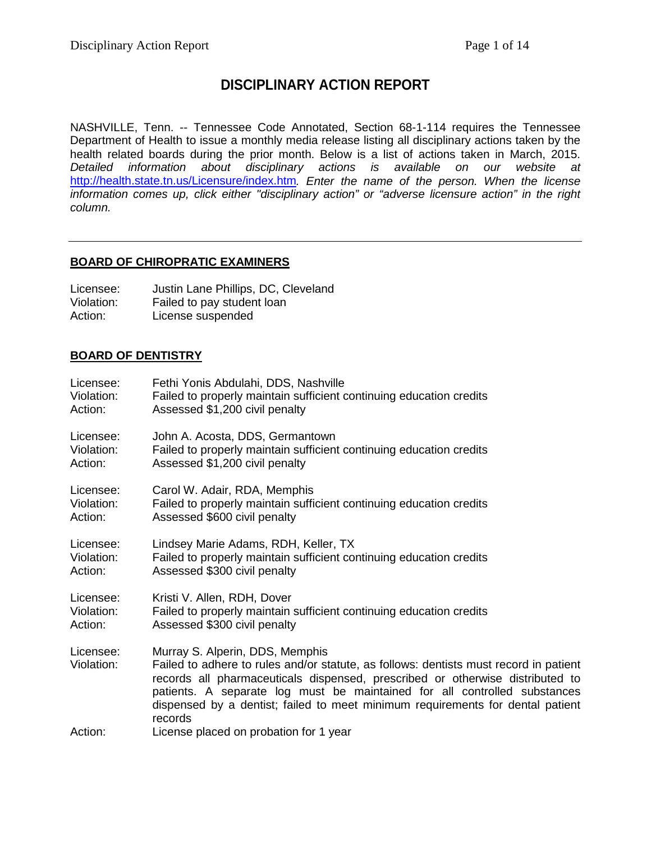# **DISCIPLINARY ACTION REPORT**

NASHVILLE, Tenn. -- Tennessee Code Annotated, Section 68-1-114 requires the Tennessee Department of Health to issue a monthly media release listing all disciplinary actions taken by the health related boards during the prior month. Below is a list of actions taken in March, 2015. *Detailed information about disciplinary actions is available on our website at*  <http://health.state.tn.us/Licensure/index.htm>*. Enter the name of the person. When the license information comes up, click either "disciplinary action" or "adverse licensure action" in the right column.*

# **BOARD OF CHIROPRATIC EXAMINERS**

| Licensee:  | Justin Lane Phillips, DC, Cleveland |
|------------|-------------------------------------|
| Violation: | Failed to pay student loan          |
| Action:    | License suspended                   |

# **BOARD OF DENTISTRY**

| Licensee:               | Fethi Yonis Abdulahi, DDS, Nashville                                                                                                                                                                                                                                                                                                                                                |
|-------------------------|-------------------------------------------------------------------------------------------------------------------------------------------------------------------------------------------------------------------------------------------------------------------------------------------------------------------------------------------------------------------------------------|
| Violation:              | Failed to properly maintain sufficient continuing education credits                                                                                                                                                                                                                                                                                                                 |
| Action:                 | Assessed \$1,200 civil penalty                                                                                                                                                                                                                                                                                                                                                      |
| Licensee:               | John A. Acosta, DDS, Germantown                                                                                                                                                                                                                                                                                                                                                     |
| Violation:              | Failed to properly maintain sufficient continuing education credits                                                                                                                                                                                                                                                                                                                 |
| Action:                 | Assessed \$1,200 civil penalty                                                                                                                                                                                                                                                                                                                                                      |
| Licensee:               | Carol W. Adair, RDA, Memphis                                                                                                                                                                                                                                                                                                                                                        |
| Violation:              | Failed to properly maintain sufficient continuing education credits                                                                                                                                                                                                                                                                                                                 |
| Action:                 | Assessed \$600 civil penalty                                                                                                                                                                                                                                                                                                                                                        |
| Licensee:               | Lindsey Marie Adams, RDH, Keller, TX                                                                                                                                                                                                                                                                                                                                                |
| Violation:              | Failed to properly maintain sufficient continuing education credits                                                                                                                                                                                                                                                                                                                 |
| Action:                 | Assessed \$300 civil penalty                                                                                                                                                                                                                                                                                                                                                        |
| Licensee:               | Kristi V. Allen, RDH, Dover                                                                                                                                                                                                                                                                                                                                                         |
| Violation:              | Failed to properly maintain sufficient continuing education credits                                                                                                                                                                                                                                                                                                                 |
| Action:                 | Assessed \$300 civil penalty                                                                                                                                                                                                                                                                                                                                                        |
| Licensee:<br>Violation: | Murray S. Alperin, DDS, Memphis<br>Failed to adhere to rules and/or statute, as follows: dentists must record in patient<br>records all pharmaceuticals dispensed, prescribed or otherwise distributed to<br>patients. A separate log must be maintained for all controlled substances<br>dispensed by a dentist; failed to meet minimum requirements for dental patient<br>records |
| Action:                 | License placed on probation for 1 year                                                                                                                                                                                                                                                                                                                                              |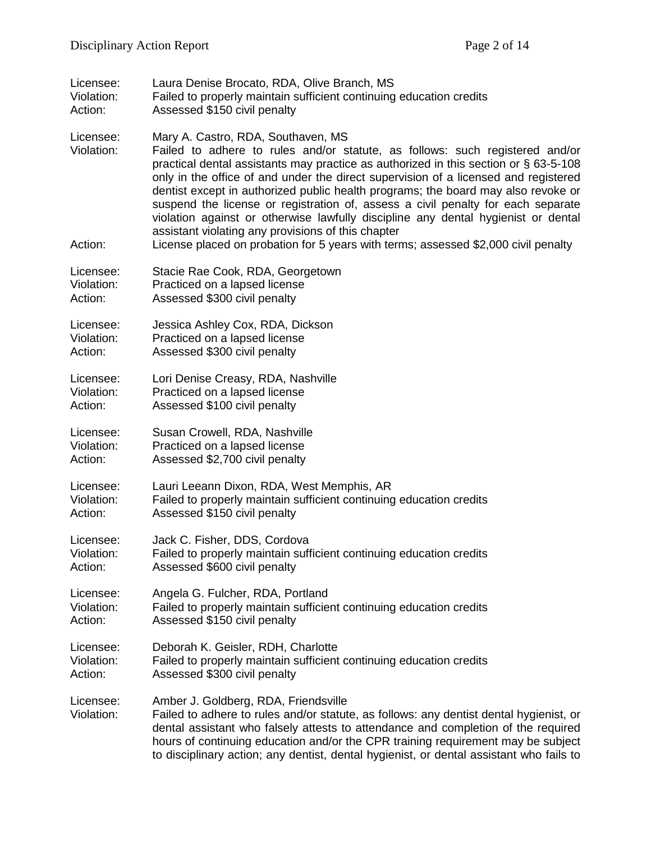| Licensee:                          | Laura Denise Brocato, RDA, Olive Branch, MS                                                                                                                                                                                                                                                                                                                                                                                                                                                                                                                                                                                                                                                                 |
|------------------------------------|-------------------------------------------------------------------------------------------------------------------------------------------------------------------------------------------------------------------------------------------------------------------------------------------------------------------------------------------------------------------------------------------------------------------------------------------------------------------------------------------------------------------------------------------------------------------------------------------------------------------------------------------------------------------------------------------------------------|
| Violation:                         | Failed to properly maintain sufficient continuing education credits                                                                                                                                                                                                                                                                                                                                                                                                                                                                                                                                                                                                                                         |
| Action:                            | Assessed \$150 civil penalty                                                                                                                                                                                                                                                                                                                                                                                                                                                                                                                                                                                                                                                                                |
| Licensee:<br>Violation:<br>Action: | Mary A. Castro, RDA, Southaven, MS<br>Failed to adhere to rules and/or statute, as follows: such registered and/or<br>practical dental assistants may practice as authorized in this section or § 63-5-108<br>only in the office of and under the direct supervision of a licensed and registered<br>dentist except in authorized public health programs; the board may also revoke or<br>suspend the license or registration of, assess a civil penalty for each separate<br>violation against or otherwise lawfully discipline any dental hygienist or dental<br>assistant violating any provisions of this chapter<br>License placed on probation for 5 years with terms; assessed \$2,000 civil penalty |
|                                    |                                                                                                                                                                                                                                                                                                                                                                                                                                                                                                                                                                                                                                                                                                             |
| Licensee:                          | Stacie Rae Cook, RDA, Georgetown                                                                                                                                                                                                                                                                                                                                                                                                                                                                                                                                                                                                                                                                            |
| Violation:                         | Practiced on a lapsed license                                                                                                                                                                                                                                                                                                                                                                                                                                                                                                                                                                                                                                                                               |
| Action:                            | Assessed \$300 civil penalty                                                                                                                                                                                                                                                                                                                                                                                                                                                                                                                                                                                                                                                                                |
| Licensee:                          | Jessica Ashley Cox, RDA, Dickson                                                                                                                                                                                                                                                                                                                                                                                                                                                                                                                                                                                                                                                                            |
| Violation:                         | Practiced on a lapsed license                                                                                                                                                                                                                                                                                                                                                                                                                                                                                                                                                                                                                                                                               |
| Action:                            | Assessed \$300 civil penalty                                                                                                                                                                                                                                                                                                                                                                                                                                                                                                                                                                                                                                                                                |
| Licensee:                          | Lori Denise Creasy, RDA, Nashville                                                                                                                                                                                                                                                                                                                                                                                                                                                                                                                                                                                                                                                                          |
| Violation:                         | Practiced on a lapsed license                                                                                                                                                                                                                                                                                                                                                                                                                                                                                                                                                                                                                                                                               |
| Action:                            | Assessed \$100 civil penalty                                                                                                                                                                                                                                                                                                                                                                                                                                                                                                                                                                                                                                                                                |
| Licensee:                          | Susan Crowell, RDA, Nashville                                                                                                                                                                                                                                                                                                                                                                                                                                                                                                                                                                                                                                                                               |
| Violation:                         | Practiced on a lapsed license                                                                                                                                                                                                                                                                                                                                                                                                                                                                                                                                                                                                                                                                               |
| Action:                            | Assessed \$2,700 civil penalty                                                                                                                                                                                                                                                                                                                                                                                                                                                                                                                                                                                                                                                                              |
| Licensee:                          | Lauri Leeann Dixon, RDA, West Memphis, AR                                                                                                                                                                                                                                                                                                                                                                                                                                                                                                                                                                                                                                                                   |
| Violation:                         | Failed to properly maintain sufficient continuing education credits                                                                                                                                                                                                                                                                                                                                                                                                                                                                                                                                                                                                                                         |
| Action:                            | Assessed \$150 civil penalty                                                                                                                                                                                                                                                                                                                                                                                                                                                                                                                                                                                                                                                                                |
| Licensee:                          | Jack C. Fisher, DDS, Cordova                                                                                                                                                                                                                                                                                                                                                                                                                                                                                                                                                                                                                                                                                |
| Violation:                         | Failed to properly maintain sufficient continuing education credits                                                                                                                                                                                                                                                                                                                                                                                                                                                                                                                                                                                                                                         |
| Action:                            | Assessed \$600 civil penalty                                                                                                                                                                                                                                                                                                                                                                                                                                                                                                                                                                                                                                                                                |
| Licensee:                          | Angela G. Fulcher, RDA, Portland                                                                                                                                                                                                                                                                                                                                                                                                                                                                                                                                                                                                                                                                            |
| Violation:                         | Failed to properly maintain sufficient continuing education credits                                                                                                                                                                                                                                                                                                                                                                                                                                                                                                                                                                                                                                         |
| Action:                            | Assessed \$150 civil penalty                                                                                                                                                                                                                                                                                                                                                                                                                                                                                                                                                                                                                                                                                |
| Licensee:                          | Deborah K. Geisler, RDH, Charlotte                                                                                                                                                                                                                                                                                                                                                                                                                                                                                                                                                                                                                                                                          |
| Violation:                         | Failed to properly maintain sufficient continuing education credits                                                                                                                                                                                                                                                                                                                                                                                                                                                                                                                                                                                                                                         |
| Action:                            | Assessed \$300 civil penalty                                                                                                                                                                                                                                                                                                                                                                                                                                                                                                                                                                                                                                                                                |
| Licensee:<br>Violation:            | Amber J. Goldberg, RDA, Friendsville<br>Failed to adhere to rules and/or statute, as follows: any dentist dental hygienist, or<br>dental assistant who falsely attests to attendance and completion of the required<br>hours of continuing education and/or the CPR training requirement may be subject<br>to disciplinary action; any dentist, dental hygienist, or dental assistant who fails to                                                                                                                                                                                                                                                                                                          |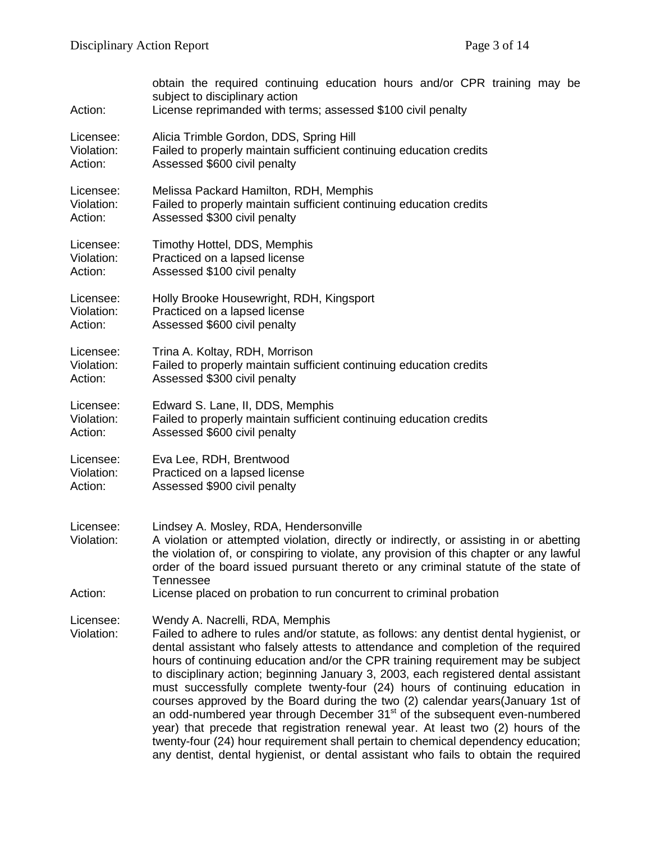| Action:                 | obtain the required continuing education hours and/or CPR training may be<br>subject to disciplinary action<br>License reprimanded with terms; assessed \$100 civil penalty                                                                                                                                                                                                                                                                                                                                                                                                                                                                                                                                                                                                                                                                                                                                           |
|-------------------------|-----------------------------------------------------------------------------------------------------------------------------------------------------------------------------------------------------------------------------------------------------------------------------------------------------------------------------------------------------------------------------------------------------------------------------------------------------------------------------------------------------------------------------------------------------------------------------------------------------------------------------------------------------------------------------------------------------------------------------------------------------------------------------------------------------------------------------------------------------------------------------------------------------------------------|
| Licensee:               | Alicia Trimble Gordon, DDS, Spring Hill                                                                                                                                                                                                                                                                                                                                                                                                                                                                                                                                                                                                                                                                                                                                                                                                                                                                               |
| Violation:              | Failed to properly maintain sufficient continuing education credits                                                                                                                                                                                                                                                                                                                                                                                                                                                                                                                                                                                                                                                                                                                                                                                                                                                   |
| Action:                 | Assessed \$600 civil penalty                                                                                                                                                                                                                                                                                                                                                                                                                                                                                                                                                                                                                                                                                                                                                                                                                                                                                          |
| Licensee:               | Melissa Packard Hamilton, RDH, Memphis                                                                                                                                                                                                                                                                                                                                                                                                                                                                                                                                                                                                                                                                                                                                                                                                                                                                                |
| Violation:              | Failed to properly maintain sufficient continuing education credits                                                                                                                                                                                                                                                                                                                                                                                                                                                                                                                                                                                                                                                                                                                                                                                                                                                   |
| Action:                 | Assessed \$300 civil penalty                                                                                                                                                                                                                                                                                                                                                                                                                                                                                                                                                                                                                                                                                                                                                                                                                                                                                          |
| Licensee:               | Timothy Hottel, DDS, Memphis                                                                                                                                                                                                                                                                                                                                                                                                                                                                                                                                                                                                                                                                                                                                                                                                                                                                                          |
| Violation:              | Practiced on a lapsed license                                                                                                                                                                                                                                                                                                                                                                                                                                                                                                                                                                                                                                                                                                                                                                                                                                                                                         |
| Action:                 | Assessed \$100 civil penalty                                                                                                                                                                                                                                                                                                                                                                                                                                                                                                                                                                                                                                                                                                                                                                                                                                                                                          |
| Licensee:               | Holly Brooke Housewright, RDH, Kingsport                                                                                                                                                                                                                                                                                                                                                                                                                                                                                                                                                                                                                                                                                                                                                                                                                                                                              |
| Violation:              | Practiced on a lapsed license                                                                                                                                                                                                                                                                                                                                                                                                                                                                                                                                                                                                                                                                                                                                                                                                                                                                                         |
| Action:                 | Assessed \$600 civil penalty                                                                                                                                                                                                                                                                                                                                                                                                                                                                                                                                                                                                                                                                                                                                                                                                                                                                                          |
| Licensee:               | Trina A. Koltay, RDH, Morrison                                                                                                                                                                                                                                                                                                                                                                                                                                                                                                                                                                                                                                                                                                                                                                                                                                                                                        |
| Violation:              | Failed to properly maintain sufficient continuing education credits                                                                                                                                                                                                                                                                                                                                                                                                                                                                                                                                                                                                                                                                                                                                                                                                                                                   |
| Action:                 | Assessed \$300 civil penalty                                                                                                                                                                                                                                                                                                                                                                                                                                                                                                                                                                                                                                                                                                                                                                                                                                                                                          |
| Licensee:               | Edward S. Lane, II, DDS, Memphis                                                                                                                                                                                                                                                                                                                                                                                                                                                                                                                                                                                                                                                                                                                                                                                                                                                                                      |
| Violation:              | Failed to properly maintain sufficient continuing education credits                                                                                                                                                                                                                                                                                                                                                                                                                                                                                                                                                                                                                                                                                                                                                                                                                                                   |
| Action:                 | Assessed \$600 civil penalty                                                                                                                                                                                                                                                                                                                                                                                                                                                                                                                                                                                                                                                                                                                                                                                                                                                                                          |
| Licensee:               | Eva Lee, RDH, Brentwood                                                                                                                                                                                                                                                                                                                                                                                                                                                                                                                                                                                                                                                                                                                                                                                                                                                                                               |
| Violation:              | Practiced on a lapsed license                                                                                                                                                                                                                                                                                                                                                                                                                                                                                                                                                                                                                                                                                                                                                                                                                                                                                         |
| Action:                 | Assessed \$900 civil penalty                                                                                                                                                                                                                                                                                                                                                                                                                                                                                                                                                                                                                                                                                                                                                                                                                                                                                          |
| Licensee:<br>Violation: | Lindsey A. Mosley, RDA, Hendersonville<br>A violation or attempted violation, directly or indirectly, or assisting in or abetting<br>the violation of, or conspiring to violate, any provision of this chapter or any lawful<br>order of the board issued pursuant thereto or any criminal statute of the state of<br><b>Tennessee</b>                                                                                                                                                                                                                                                                                                                                                                                                                                                                                                                                                                                |
| Action:                 | License placed on probation to run concurrent to criminal probation                                                                                                                                                                                                                                                                                                                                                                                                                                                                                                                                                                                                                                                                                                                                                                                                                                                   |
| Licensee:<br>Violation: | Wendy A. Nacrelli, RDA, Memphis<br>Failed to adhere to rules and/or statute, as follows: any dentist dental hygienist, or<br>dental assistant who falsely attests to attendance and completion of the required<br>hours of continuing education and/or the CPR training requirement may be subject<br>to disciplinary action; beginning January 3, 2003, each registered dental assistant<br>must successfully complete twenty-four (24) hours of continuing education in<br>courses approved by the Board during the two (2) calendar years(January 1st of<br>an odd-numbered year through December 31 <sup>st</sup> of the subsequent even-numbered<br>year) that precede that registration renewal year. At least two (2) hours of the<br>twenty-four (24) hour requirement shall pertain to chemical dependency education;<br>any dentist, dental hygienist, or dental assistant who fails to obtain the required |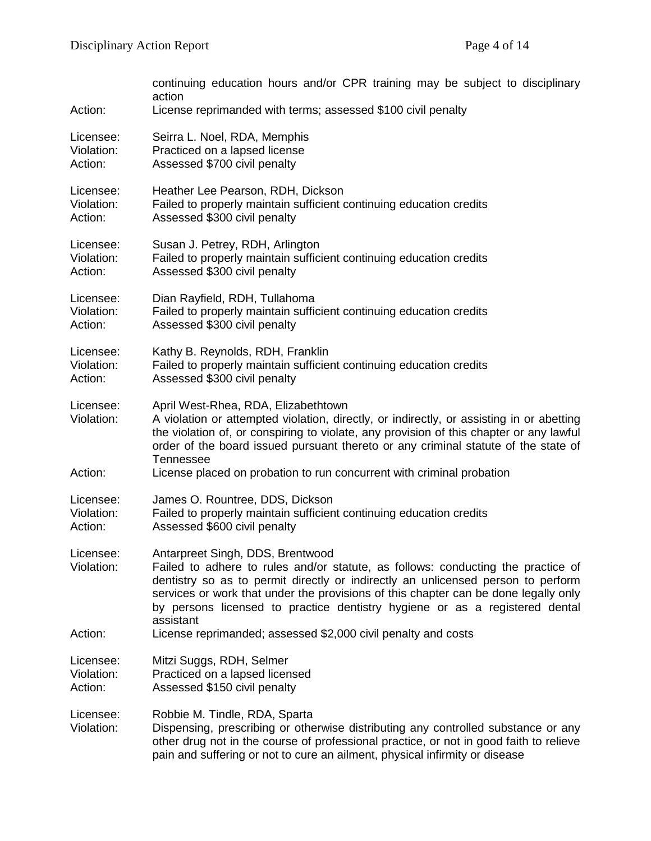|                         | continuing education hours and/or CPR training may be subject to disciplinary<br>action                                                                                                                                                                                                                                                                                                     |
|-------------------------|---------------------------------------------------------------------------------------------------------------------------------------------------------------------------------------------------------------------------------------------------------------------------------------------------------------------------------------------------------------------------------------------|
| Action:                 | License reprimanded with terms; assessed \$100 civil penalty                                                                                                                                                                                                                                                                                                                                |
| Licensee:               | Seirra L. Noel, RDA, Memphis                                                                                                                                                                                                                                                                                                                                                                |
| Violation:              | Practiced on a lapsed license                                                                                                                                                                                                                                                                                                                                                               |
| Action:                 | Assessed \$700 civil penalty                                                                                                                                                                                                                                                                                                                                                                |
| Licensee:               | Heather Lee Pearson, RDH, Dickson                                                                                                                                                                                                                                                                                                                                                           |
| Violation:              | Failed to properly maintain sufficient continuing education credits                                                                                                                                                                                                                                                                                                                         |
| Action:                 | Assessed \$300 civil penalty                                                                                                                                                                                                                                                                                                                                                                |
| Licensee:               | Susan J. Petrey, RDH, Arlington                                                                                                                                                                                                                                                                                                                                                             |
| Violation:              | Failed to properly maintain sufficient continuing education credits                                                                                                                                                                                                                                                                                                                         |
| Action:                 | Assessed \$300 civil penalty                                                                                                                                                                                                                                                                                                                                                                |
| Licensee:               | Dian Rayfield, RDH, Tullahoma                                                                                                                                                                                                                                                                                                                                                               |
| Violation:              | Failed to properly maintain sufficient continuing education credits                                                                                                                                                                                                                                                                                                                         |
| Action:                 | Assessed \$300 civil penalty                                                                                                                                                                                                                                                                                                                                                                |
| Licensee:               | Kathy B. Reynolds, RDH, Franklin                                                                                                                                                                                                                                                                                                                                                            |
| Violation:              | Failed to properly maintain sufficient continuing education credits                                                                                                                                                                                                                                                                                                                         |
| Action:                 | Assessed \$300 civil penalty                                                                                                                                                                                                                                                                                                                                                                |
| Licensee:<br>Violation: | April West-Rhea, RDA, Elizabethtown<br>A violation or attempted violation, directly, or indirectly, or assisting in or abetting<br>the violation of, or conspiring to violate, any provision of this chapter or any lawful<br>order of the board issued pursuant thereto or any criminal statute of the state of<br>Tennessee                                                               |
| Action:                 | License placed on probation to run concurrent with criminal probation                                                                                                                                                                                                                                                                                                                       |
| Licensee:               | James O. Rountree, DDS, Dickson                                                                                                                                                                                                                                                                                                                                                             |
| Violation:              | Failed to properly maintain sufficient continuing education credits                                                                                                                                                                                                                                                                                                                         |
| Action:                 | Assessed \$600 civil penalty                                                                                                                                                                                                                                                                                                                                                                |
| Licensee:<br>Violation: | Antarpreet Singh, DDS, Brentwood<br>Failed to adhere to rules and/or statute, as follows: conducting the practice of<br>dentistry so as to permit directly or indirectly an unlicensed person to perform<br>services or work that under the provisions of this chapter can be done legally only<br>by persons licensed to practice dentistry hygiene or as a registered dental<br>assistant |
| Action:                 | License reprimanded; assessed \$2,000 civil penalty and costs                                                                                                                                                                                                                                                                                                                               |
| Licensee:               | Mitzi Suggs, RDH, Selmer                                                                                                                                                                                                                                                                                                                                                                    |
| Violation:              | Practiced on a lapsed licensed                                                                                                                                                                                                                                                                                                                                                              |
| Action:                 | Assessed \$150 civil penalty                                                                                                                                                                                                                                                                                                                                                                |
| Licensee:<br>Violation: | Robbie M. Tindle, RDA, Sparta<br>Dispensing, prescribing or otherwise distributing any controlled substance or any<br>other drug not in the course of professional practice, or not in good faith to relieve<br>pain and suffering or not to cure an ailment, physical infirmity or disease                                                                                                 |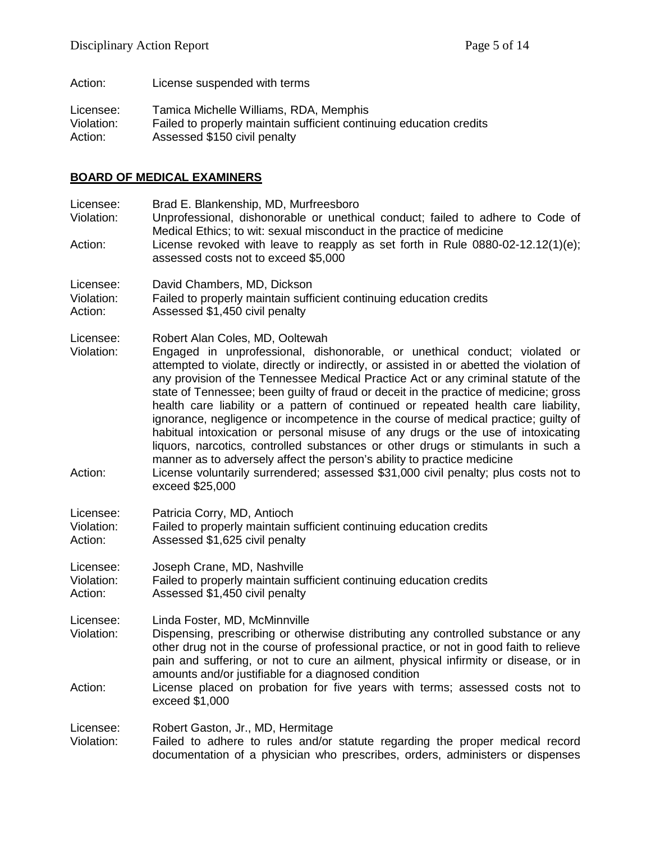Action: License suspended with terms Licensee: Tamica Michelle Williams, RDA, Memphis<br>Violation: Failed to properly maintain sufficient contin Violation: Failed to properly maintain sufficient continuing education credits<br>Action: Assessed \$150 civil penalty Assessed \$150 civil penalty

# **BOARD OF MEDICAL EXAMINERS**

| Licensee:<br>Violation:<br>Action: | Brad E. Blankenship, MD, Murfreesboro<br>Unprofessional, dishonorable or unethical conduct; failed to adhere to Code of<br>Medical Ethics; to wit: sexual misconduct in the practice of medicine<br>License revoked with leave to reapply as set forth in Rule 0880-02-12.12(1)(e);<br>assessed costs not to exceed \$5,000                                                                                                                                                                                                                                                                                                                                                                                                                                                                                             |
|------------------------------------|-------------------------------------------------------------------------------------------------------------------------------------------------------------------------------------------------------------------------------------------------------------------------------------------------------------------------------------------------------------------------------------------------------------------------------------------------------------------------------------------------------------------------------------------------------------------------------------------------------------------------------------------------------------------------------------------------------------------------------------------------------------------------------------------------------------------------|
| Licensee:<br>Violation:<br>Action: | David Chambers, MD, Dickson<br>Failed to properly maintain sufficient continuing education credits<br>Assessed \$1,450 civil penalty                                                                                                                                                                                                                                                                                                                                                                                                                                                                                                                                                                                                                                                                                    |
| Licensee:<br>Violation:            | Robert Alan Coles, MD, Ooltewah<br>Engaged in unprofessional, dishonorable, or unethical conduct; violated or<br>attempted to violate, directly or indirectly, or assisted in or abetted the violation of<br>any provision of the Tennessee Medical Practice Act or any criminal statute of the<br>state of Tennessee; been guilty of fraud or deceit in the practice of medicine; gross<br>health care liability or a pattern of continued or repeated health care liability,<br>ignorance, negligence or incompetence in the course of medical practice; guilty of<br>habitual intoxication or personal misuse of any drugs or the use of intoxicating<br>liquors, narcotics, controlled substances or other drugs or stimulants in such a<br>manner as to adversely affect the person's ability to practice medicine |
| Action:                            | License voluntarily surrendered; assessed \$31,000 civil penalty; plus costs not to<br>exceed \$25,000                                                                                                                                                                                                                                                                                                                                                                                                                                                                                                                                                                                                                                                                                                                  |
| Licensee:<br>Violation:<br>Action: | Patricia Corry, MD, Antioch<br>Failed to properly maintain sufficient continuing education credits<br>Assessed \$1,625 civil penalty                                                                                                                                                                                                                                                                                                                                                                                                                                                                                                                                                                                                                                                                                    |
| Licensee:<br>Violation:<br>Action: | Joseph Crane, MD, Nashville<br>Failed to properly maintain sufficient continuing education credits<br>Assessed \$1,450 civil penalty                                                                                                                                                                                                                                                                                                                                                                                                                                                                                                                                                                                                                                                                                    |
| Licensee:<br>Violation:<br>Action: | Linda Foster, MD, McMinnville<br>Dispensing, prescribing or otherwise distributing any controlled substance or any<br>other drug not in the course of professional practice, or not in good faith to relieve<br>pain and suffering, or not to cure an ailment, physical infirmity or disease, or in<br>amounts and/or justifiable for a diagnosed condition<br>License placed on probation for five years with terms; assessed costs not to                                                                                                                                                                                                                                                                                                                                                                             |
|                                    | exceed \$1,000                                                                                                                                                                                                                                                                                                                                                                                                                                                                                                                                                                                                                                                                                                                                                                                                          |
| Licensee:<br>Violation:            | Robert Gaston, Jr., MD, Hermitage<br>Failed to adhere to rules and/or statute regarding the proper medical record<br>documentation of a physician who prescribes, orders, administers or dispenses                                                                                                                                                                                                                                                                                                                                                                                                                                                                                                                                                                                                                      |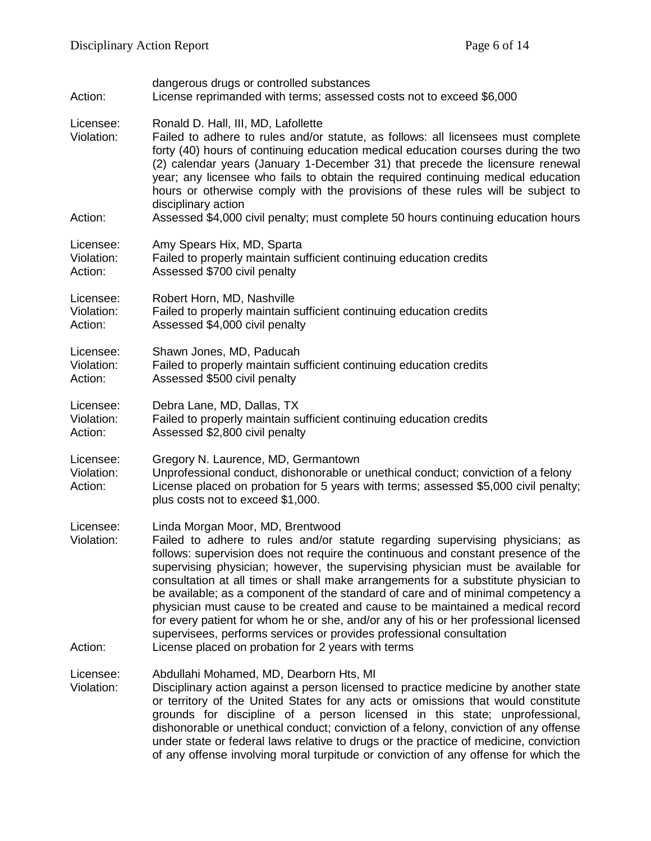| Action:                            | dangerous drugs or controlled substances<br>License reprimanded with terms; assessed costs not to exceed \$6,000                                                                                                                                                                                                                                                                                                                                                                                                                                                                                                                                                                                                                                                            |
|------------------------------------|-----------------------------------------------------------------------------------------------------------------------------------------------------------------------------------------------------------------------------------------------------------------------------------------------------------------------------------------------------------------------------------------------------------------------------------------------------------------------------------------------------------------------------------------------------------------------------------------------------------------------------------------------------------------------------------------------------------------------------------------------------------------------------|
| Licensee:<br>Violation:<br>Action: | Ronald D. Hall, III, MD, Lafollette<br>Failed to adhere to rules and/or statute, as follows: all licensees must complete<br>forty (40) hours of continuing education medical education courses during the two<br>(2) calendar years (January 1-December 31) that precede the licensure renewal<br>year; any licensee who fails to obtain the required continuing medical education<br>hours or otherwise comply with the provisions of these rules will be subject to<br>disciplinary action<br>Assessed \$4,000 civil penalty; must complete 50 hours continuing education hours                                                                                                                                                                                           |
|                                    |                                                                                                                                                                                                                                                                                                                                                                                                                                                                                                                                                                                                                                                                                                                                                                             |
| Licensee:<br>Violation:<br>Action: | Amy Spears Hix, MD, Sparta<br>Failed to properly maintain sufficient continuing education credits<br>Assessed \$700 civil penalty                                                                                                                                                                                                                                                                                                                                                                                                                                                                                                                                                                                                                                           |
| Licensee:<br>Violation:<br>Action: | Robert Horn, MD, Nashville<br>Failed to properly maintain sufficient continuing education credits<br>Assessed \$4,000 civil penalty                                                                                                                                                                                                                                                                                                                                                                                                                                                                                                                                                                                                                                         |
| Licensee:<br>Violation:<br>Action: | Shawn Jones, MD, Paducah<br>Failed to properly maintain sufficient continuing education credits<br>Assessed \$500 civil penalty                                                                                                                                                                                                                                                                                                                                                                                                                                                                                                                                                                                                                                             |
| Licensee:<br>Violation:<br>Action: | Debra Lane, MD, Dallas, TX<br>Failed to properly maintain sufficient continuing education credits<br>Assessed \$2,800 civil penalty                                                                                                                                                                                                                                                                                                                                                                                                                                                                                                                                                                                                                                         |
| Licensee:<br>Violation:<br>Action: | Gregory N. Laurence, MD, Germantown<br>Unprofessional conduct, dishonorable or unethical conduct; conviction of a felony<br>License placed on probation for 5 years with terms; assessed \$5,000 civil penalty;<br>plus costs not to exceed \$1,000.                                                                                                                                                                                                                                                                                                                                                                                                                                                                                                                        |
| Licensee:<br>Violation:<br>Action: | Linda Morgan Moor, MD, Brentwood<br>Failed to adhere to rules and/or statute regarding supervising physicians; as<br>follows: supervision does not require the continuous and constant presence of the<br>supervising physician; however, the supervising physician must be available for<br>consultation at all times or shall make arrangements for a substitute physician to<br>be available; as a component of the standard of care and of minimal competency a<br>physician must cause to be created and cause to be maintained a medical record<br>for every patient for whom he or she, and/or any of his or her professional licensed<br>supervisees, performs services or provides professional consultation<br>License placed on probation for 2 years with terms |
| Licensee:<br>Violation:            | Abdullahi Mohamed, MD, Dearborn Hts, MI<br>Disciplinary action against a person licensed to practice medicine by another state<br>or territory of the United States for any acts or omissions that would constitute<br>grounds for discipline of a person licensed in this state; unprofessional,<br>dishonorable or unethical conduct; conviction of a felony, conviction of any offense<br>under state or federal laws relative to drugs or the practice of medicine, conviction<br>of any offense involving moral turpitude or conviction of any offense for which the                                                                                                                                                                                                   |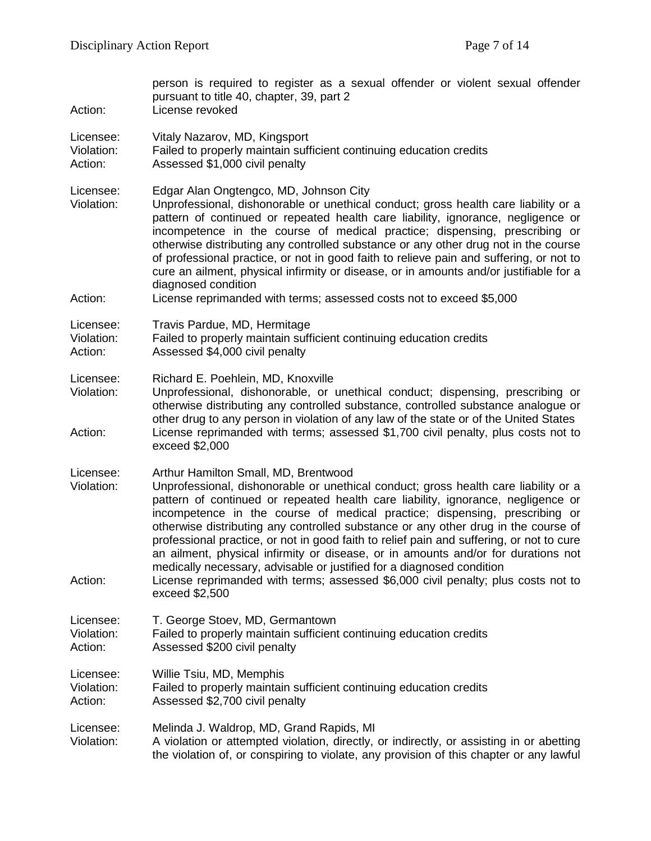| Action:                            | person is required to register as a sexual offender or violent sexual offender<br>pursuant to title 40, chapter, 39, part 2<br>License revoked                                                                                                                                                                                                                                                                                                                                                                                                                                                                                                                                                                                                       |
|------------------------------------|------------------------------------------------------------------------------------------------------------------------------------------------------------------------------------------------------------------------------------------------------------------------------------------------------------------------------------------------------------------------------------------------------------------------------------------------------------------------------------------------------------------------------------------------------------------------------------------------------------------------------------------------------------------------------------------------------------------------------------------------------|
| Licensee:<br>Violation:<br>Action: | Vitaly Nazarov, MD, Kingsport<br>Failed to properly maintain sufficient continuing education credits<br>Assessed \$1,000 civil penalty                                                                                                                                                                                                                                                                                                                                                                                                                                                                                                                                                                                                               |
| Licensee:<br>Violation:<br>Action: | Edgar Alan Ongtengco, MD, Johnson City<br>Unprofessional, dishonorable or unethical conduct; gross health care liability or a<br>pattern of continued or repeated health care liability, ignorance, negligence or<br>incompetence in the course of medical practice; dispensing, prescribing or<br>otherwise distributing any controlled substance or any other drug not in the course<br>of professional practice, or not in good faith to relieve pain and suffering, or not to<br>cure an ailment, physical infirmity or disease, or in amounts and/or justifiable for a<br>diagnosed condition<br>License reprimanded with terms; assessed costs not to exceed \$5,000                                                                           |
| Licensee:<br>Violation:<br>Action: | Travis Pardue, MD, Hermitage<br>Failed to properly maintain sufficient continuing education credits<br>Assessed \$4,000 civil penalty                                                                                                                                                                                                                                                                                                                                                                                                                                                                                                                                                                                                                |
| Licensee:<br>Violation:<br>Action: | Richard E. Poehlein, MD, Knoxville<br>Unprofessional, dishonorable, or unethical conduct; dispensing, prescribing or<br>otherwise distributing any controlled substance, controlled substance analogue or<br>other drug to any person in violation of any law of the state or of the United States<br>License reprimanded with terms; assessed \$1,700 civil penalty, plus costs not to<br>exceed \$2,000                                                                                                                                                                                                                                                                                                                                            |
| Licensee:<br>Violation:<br>Action: | Arthur Hamilton Small, MD, Brentwood<br>Unprofessional, dishonorable or unethical conduct; gross health care liability or a<br>pattern of continued or repeated health care liability, ignorance, negligence or<br>incompetence in the course of medical practice; dispensing, prescribing or<br>otherwise distributing any controlled substance or any other drug in the course of<br>professional practice, or not in good faith to relief pain and suffering, or not to cure<br>an ailment, physical infirmity or disease, or in amounts and/or for durations not<br>medically necessary, advisable or justified for a diagnosed condition<br>License reprimanded with terms; assessed \$6,000 civil penalty; plus costs not to<br>exceed \$2,500 |
| Licensee:<br>Violation:<br>Action: | T. George Stoev, MD, Germantown<br>Failed to properly maintain sufficient continuing education credits<br>Assessed \$200 civil penalty                                                                                                                                                                                                                                                                                                                                                                                                                                                                                                                                                                                                               |
| Licensee:<br>Violation:<br>Action: | Willie Tsiu, MD, Memphis<br>Failed to properly maintain sufficient continuing education credits<br>Assessed \$2,700 civil penalty                                                                                                                                                                                                                                                                                                                                                                                                                                                                                                                                                                                                                    |
| Licensee:<br>Violation:            | Melinda J. Waldrop, MD, Grand Rapids, MI<br>A violation or attempted violation, directly, or indirectly, or assisting in or abetting<br>the violation of, or conspiring to violate, any provision of this chapter or any lawful                                                                                                                                                                                                                                                                                                                                                                                                                                                                                                                      |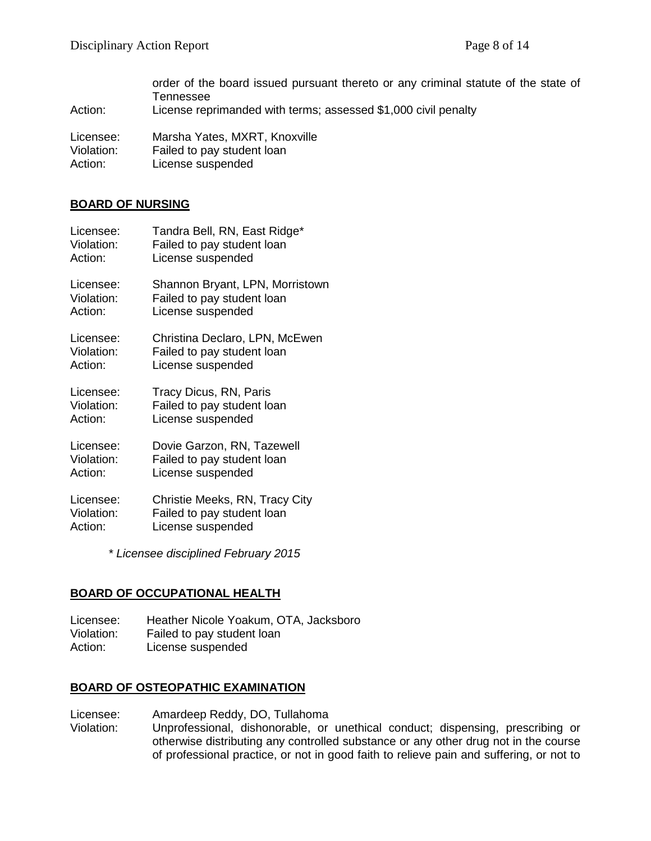order of the board issued pursuant thereto or any criminal statute of the state of Tennessee Action: License reprimanded with terms; assessed \$1,000 civil penalty

Licensee: Marsha Yates, MXRT, Knoxville

Violation: Failed to pay student loan<br>Action: License suspended License suspended

#### **BOARD OF NURSING**

| Licensee:  | Tandra Bell, RN, East Ridge*    |
|------------|---------------------------------|
| Violation: | Failed to pay student loan      |
| Action:    | License suspended               |
| Licensee:  | Shannon Bryant, LPN, Morristown |
| Violation: | Failed to pay student loan      |
| Action:    | License suspended               |
| Licensee:  | Christina Declaro, LPN, McEwen  |
| Violation: | Failed to pay student loan      |
| Action:    | License suspended               |
| Licensee:  | Tracy Dicus, RN, Paris          |
| Violation: | Failed to pay student loan      |
| Action:    | License suspended               |
| Licensee:  | Dovie Garzon, RN, Tazewell      |
| Violation: | Failed to pay student loan      |
| Action:    | License suspended               |
| Licensee:  | Christie Meeks, RN, Tracy City  |
| Violation: | Failed to pay student loan      |
| Action:    | License suspended               |

*\* Licensee disciplined February 2015*

# **BOARD OF OCCUPATIONAL HEALTH**

Licensee: Heather Nicole Yoakum, OTA, Jacksboro Violation: Failed to pay student loan Action: License suspended

# **BOARD OF OSTEOPATHIC EXAMINATION**

Licensee: Amardeep Reddy, DO, Tullahoma

Violation: Unprofessional, dishonorable, or unethical conduct; dispensing, prescribing or otherwise distributing any controlled substance or any other drug not in the course of professional practice, or not in good faith to relieve pain and suffering, or not to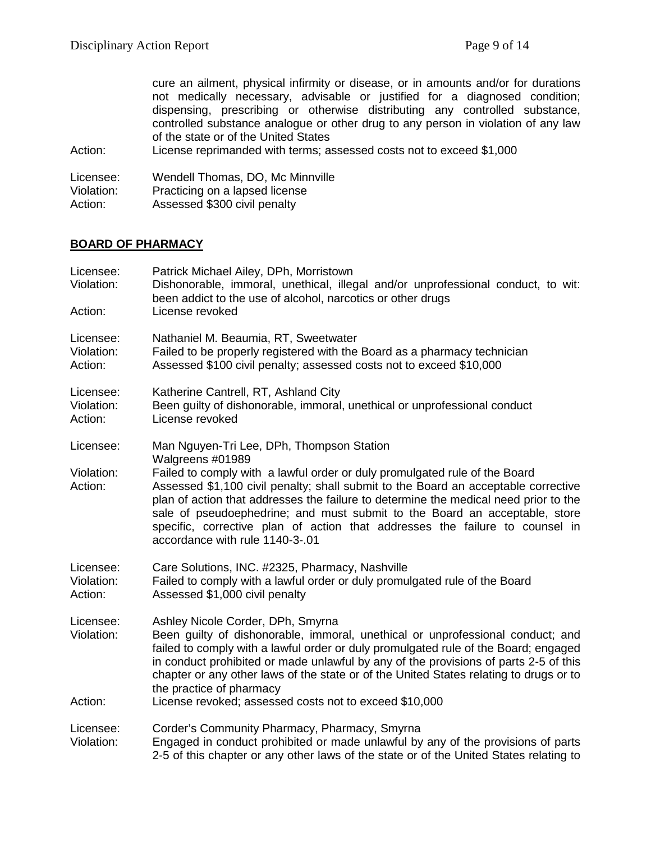cure an ailment, physical infirmity or disease, or in amounts and/or for durations not medically necessary, advisable or justified for a diagnosed condition; dispensing, prescribing or otherwise distributing any controlled substance, controlled substance analogue or other drug to any person in violation of any law of the state or of the United States

Action: License reprimanded with terms; assessed costs not to exceed \$1,000

Licensee: Wendell Thomas, DO, Mc Minnville<br>Violation: Practicing on a lapsed license

Violation: Practicing on a lapsed license<br>Action: Assessed \$300 civil penalty

Assessed \$300 civil penalty

# **BOARD OF PHARMACY**

| Licensee:<br>Violation:<br>Action: | Patrick Michael Ailey, DPh, Morristown<br>Dishonorable, immoral, unethical, illegal and/or unprofessional conduct, to wit:<br>been addict to the use of alcohol, narcotics or other drugs<br>License revoked                                                                                                                                                                                                                                                                                                               |
|------------------------------------|----------------------------------------------------------------------------------------------------------------------------------------------------------------------------------------------------------------------------------------------------------------------------------------------------------------------------------------------------------------------------------------------------------------------------------------------------------------------------------------------------------------------------|
| Licensee:<br>Violation:<br>Action: | Nathaniel M. Beaumia, RT, Sweetwater<br>Failed to be properly registered with the Board as a pharmacy technician<br>Assessed \$100 civil penalty; assessed costs not to exceed \$10,000                                                                                                                                                                                                                                                                                                                                    |
| Licensee:<br>Violation:<br>Action: | Katherine Cantrell, RT, Ashland City<br>Been guilty of dishonorable, immoral, unethical or unprofessional conduct<br>License revoked                                                                                                                                                                                                                                                                                                                                                                                       |
| Licensee:<br>Violation:<br>Action: | Man Nguyen-Tri Lee, DPh, Thompson Station<br>Walgreens #01989<br>Failed to comply with a lawful order or duly promulgated rule of the Board<br>Assessed \$1,100 civil penalty; shall submit to the Board an acceptable corrective<br>plan of action that addresses the failure to determine the medical need prior to the<br>sale of pseudoephedrine; and must submit to the Board an acceptable, store<br>specific, corrective plan of action that addresses the failure to counsel in<br>accordance with rule 1140-3-.01 |
| Licensee:<br>Violation:<br>Action: | Care Solutions, INC. #2325, Pharmacy, Nashville<br>Failed to comply with a lawful order or duly promulgated rule of the Board<br>Assessed \$1,000 civil penalty                                                                                                                                                                                                                                                                                                                                                            |
| Licensee:<br>Violation:<br>Action: | Ashley Nicole Corder, DPh, Smyrna<br>Been guilty of dishonorable, immoral, unethical or unprofessional conduct; and<br>failed to comply with a lawful order or duly promulgated rule of the Board; engaged<br>in conduct prohibited or made unlawful by any of the provisions of parts 2-5 of this<br>chapter or any other laws of the state or of the United States relating to drugs or to<br>the practice of pharmacy<br>License revoked; assessed costs not to exceed \$10,000                                         |
| Licensee:<br>Violation:            | Corder's Community Pharmacy, Pharmacy, Smyrna<br>Engaged in conduct prohibited or made unlawful by any of the provisions of parts<br>2-5 of this chapter or any other laws of the state or of the United States relating to                                                                                                                                                                                                                                                                                                |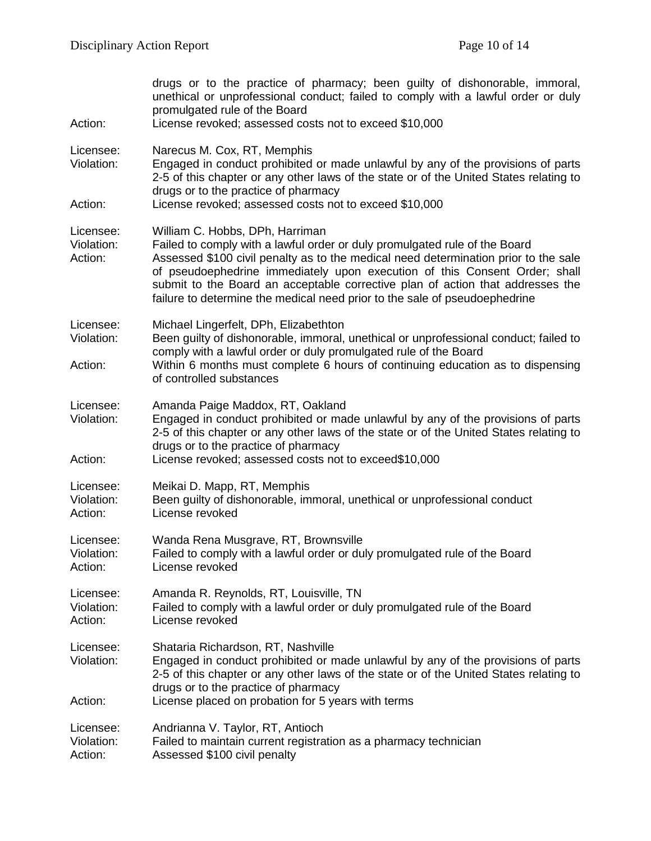| Action:                            | drugs or to the practice of pharmacy; been guilty of dishonorable, immoral,<br>unethical or unprofessional conduct; failed to comply with a lawful order or duly<br>promulgated rule of the Board<br>License revoked; assessed costs not to exceed \$10,000                                                                                                                                                                                        |
|------------------------------------|----------------------------------------------------------------------------------------------------------------------------------------------------------------------------------------------------------------------------------------------------------------------------------------------------------------------------------------------------------------------------------------------------------------------------------------------------|
| Licensee:<br>Violation:            | Narecus M. Cox, RT, Memphis<br>Engaged in conduct prohibited or made unlawful by any of the provisions of parts<br>2-5 of this chapter or any other laws of the state or of the United States relating to<br>drugs or to the practice of pharmacy                                                                                                                                                                                                  |
| Action:                            | License revoked; assessed costs not to exceed \$10,000                                                                                                                                                                                                                                                                                                                                                                                             |
| Licensee:<br>Violation:<br>Action: | William C. Hobbs, DPh, Harriman<br>Failed to comply with a lawful order or duly promulgated rule of the Board<br>Assessed \$100 civil penalty as to the medical need determination prior to the sale<br>of pseudoephedrine immediately upon execution of this Consent Order; shall<br>submit to the Board an acceptable corrective plan of action that addresses the<br>failure to determine the medical need prior to the sale of pseudoephedrine |
| Licensee:<br>Violation:<br>Action: | Michael Lingerfelt, DPh, Elizabethton<br>Been guilty of dishonorable, immoral, unethical or unprofessional conduct; failed to<br>comply with a lawful order or duly promulgated rule of the Board<br>Within 6 months must complete 6 hours of continuing education as to dispensing<br>of controlled substances                                                                                                                                    |
| Licensee:<br>Violation:<br>Action: | Amanda Paige Maddox, RT, Oakland<br>Engaged in conduct prohibited or made unlawful by any of the provisions of parts<br>2-5 of this chapter or any other laws of the state or of the United States relating to<br>drugs or to the practice of pharmacy<br>License revoked; assessed costs not to exceed\$10,000                                                                                                                                    |
| Licensee:<br>Violation:<br>Action: | Meikai D. Mapp, RT, Memphis<br>Been guilty of dishonorable, immoral, unethical or unprofessional conduct<br>License revoked                                                                                                                                                                                                                                                                                                                        |
| Licensee:<br>Violation:<br>Action: | Wanda Rena Musgrave, RT, Brownsville<br>Failed to comply with a lawful order or duly promulgated rule of the Board<br>License revoked                                                                                                                                                                                                                                                                                                              |
| Licensee:<br>Violation:<br>Action: | Amanda R. Reynolds, RT, Louisville, TN<br>Failed to comply with a lawful order or duly promulgated rule of the Board<br>License revoked                                                                                                                                                                                                                                                                                                            |
| Licensee:<br>Violation:<br>Action: | Shataria Richardson, RT, Nashville<br>Engaged in conduct prohibited or made unlawful by any of the provisions of parts<br>2-5 of this chapter or any other laws of the state or of the United States relating to<br>drugs or to the practice of pharmacy<br>License placed on probation for 5 years with terms                                                                                                                                     |
| Licensee:<br>Violation:<br>Action: | Andrianna V. Taylor, RT, Antioch<br>Failed to maintain current registration as a pharmacy technician<br>Assessed \$100 civil penalty                                                                                                                                                                                                                                                                                                               |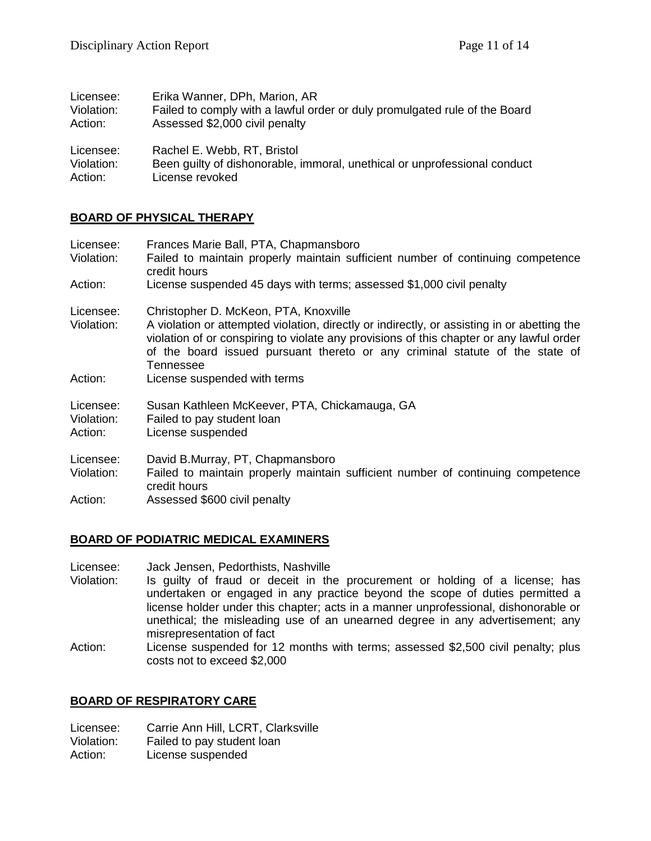| Licensee:  | Erika Wanner, DPh, Marion, AR                                              |
|------------|----------------------------------------------------------------------------|
| Violation: | Failed to comply with a lawful order or duly promulgated rule of the Board |
| Action:    | Assessed \$2,000 civil penalty                                             |
| Licensee:  | Rachel E. Webb, RT, Bristol                                                |
| Violation: | Been quilty of dishonorable, immoral, unethical or unprofessional conduct  |
| Action:    | License revoked                                                            |

# **BOARD OF PHYSICAL THERAPY**

| Licensee:<br>Violation:            | Frances Marie Ball, PTA, Chapmansboro<br>Failed to maintain properly maintain sufficient number of continuing competence<br>credit hours                                                                                                                                                                                      |
|------------------------------------|-------------------------------------------------------------------------------------------------------------------------------------------------------------------------------------------------------------------------------------------------------------------------------------------------------------------------------|
| Action:                            | License suspended 45 days with terms; assessed \$1,000 civil penalty                                                                                                                                                                                                                                                          |
| Licensee:<br>Violation:            | Christopher D. McKeon, PTA, Knoxville<br>A violation or attempted violation, directly or indirectly, or assisting in or abetting the<br>violation of or conspiring to violate any provisions of this chapter or any lawful order<br>of the board issued pursuant thereto or any criminal statute of the state of<br>Tennessee |
| Action:                            | License suspended with terms                                                                                                                                                                                                                                                                                                  |
| Licensee:<br>Violation:<br>Action: | Susan Kathleen McKeever, PTA, Chickamauga, GA<br>Failed to pay student loan<br>License suspended                                                                                                                                                                                                                              |
| Licensee:<br>Violation:            | David B.Murray, PT, Chapmansboro<br>Failed to maintain properly maintain sufficient number of continuing competence<br>credit hours                                                                                                                                                                                           |
| Action:                            | Assessed \$600 civil penalty                                                                                                                                                                                                                                                                                                  |

# **BOARD OF PODIATRIC MEDICAL EXAMINERS**

Licensee: Jack Jensen, Pedorthists, Nashville

- Violation: Is guilty of fraud or deceit in the procurement or holding of a license; has undertaken or engaged in any practice beyond the scope of duties permitted a license holder under this chapter; acts in a manner unprofessional, dishonorable or unethical; the misleading use of an unearned degree in any advertisement; any misrepresentation of fact
- Action: License suspended for 12 months with terms; assessed \$2,500 civil penalty; plus costs not to exceed \$2,000

# **BOARD OF RESPIRATORY CARE**

Licensee: Carrie Ann Hill, LCRT, Clarksville

Violation: Failed to pay student loan

Action: License suspended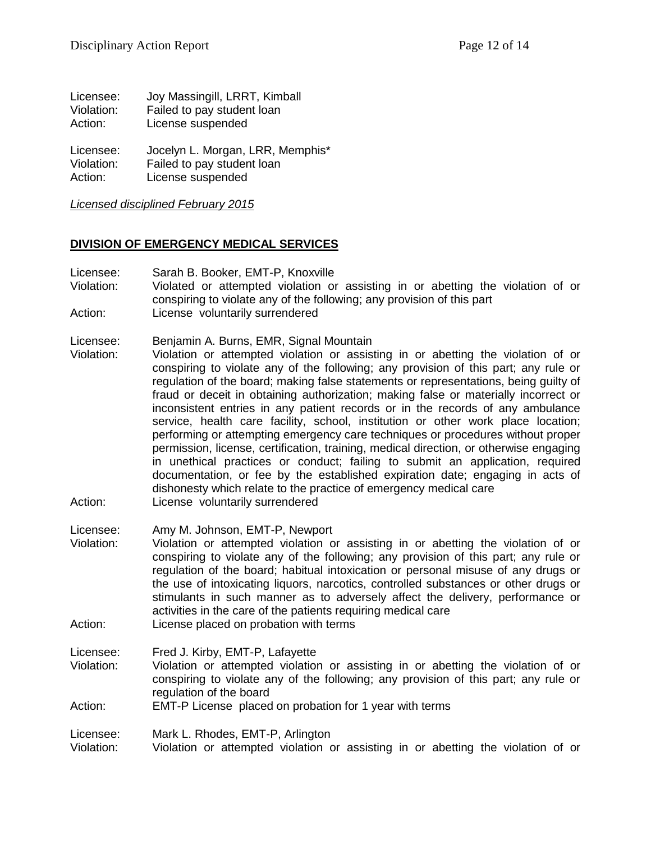| Licensee:  | Joy Massingill, LRRT, Kimball    |
|------------|----------------------------------|
| Violation: | Failed to pay student loan       |
| Action:    | License suspended                |
| Licensee:  | Jocelyn L. Morgan, LRR, Memphis* |
| Violation: | Failed to pay student loan       |
| Action:    | License suspended                |

*Licensed disciplined February 2015*

#### **DIVISION OF EMERGENCY MEDICAL SERVICES**

- Licensee: Sarah B. Booker, EMT-P, Knoxville
- Violation: Violated or attempted violation or assisting in or abetting the violation of or conspiring to violate any of the following; any provision of this part Action: License voluntarily surrendered
- 
- Licensee: Benjamin A. Burns, EMR, Signal Mountain
- Violation: Violation or attempted violation or assisting in or abetting the violation of or conspiring to violate any of the following; any provision of this part; any rule or regulation of the board; making false statements or representations, being guilty of fraud or deceit in obtaining authorization; making false or materially incorrect or inconsistent entries in any patient records or in the records of any ambulance service, health care facility, school, institution or other work place location; performing or attempting emergency care techniques or procedures without proper permission, license, certification, training, medical direction, or otherwise engaging in unethical practices or conduct; failing to submit an application, required documentation, or fee by the established expiration date; engaging in acts of dishonesty which relate to the practice of emergency medical care
- Action: License voluntarily surrendered
- Licensee: Amy M. Johnson, EMT-P, Newport Violation: Violation or attempted violation or assisting in or abetting the violation of or conspiring to violate any of the following; any provision of this part; any rule or regulation of the board; habitual intoxication or personal misuse of any drugs or the use of intoxicating liquors, narcotics, controlled substances or other drugs or stimulants in such manner as to adversely affect the delivery, performance or activities in the care of the patients requiring medical care
- Action: License placed on probation with terms

Licensee: Fred J. Kirby, EMT-P, Lafayette

- Violation: Violation or attempted violation or assisting in or abetting the violation of or conspiring to violate any of the following; any provision of this part; any rule or regulation of the board
- Action: EMT-P License placed on probation for 1 year with terms

Licensee: Mark L. Rhodes, EMT-P, Arlington

Violation: Violation or attempted violation or assisting in or abetting the violation of or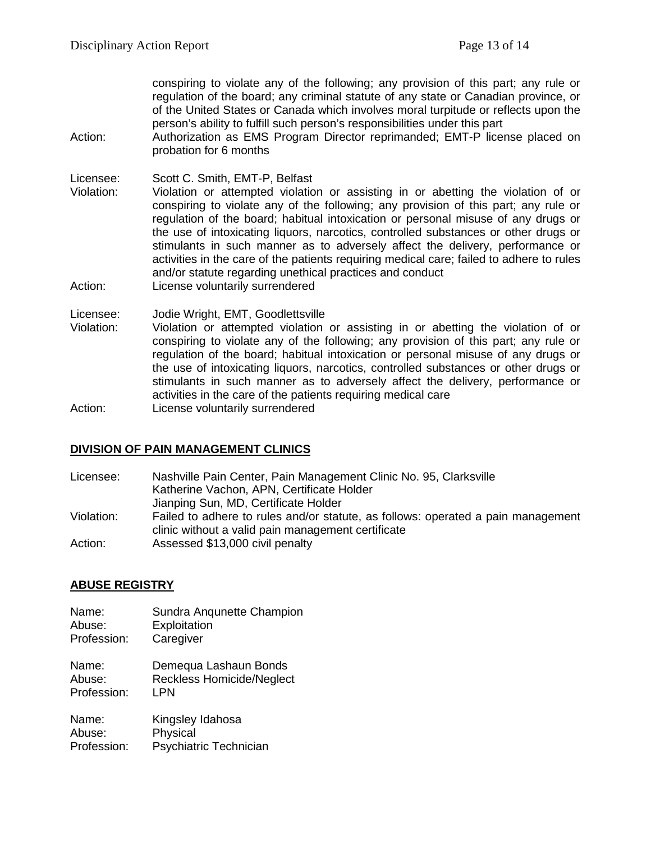conspiring to violate any of the following; any provision of this part; any rule or regulation of the board; any criminal statute of any state or Canadian province, or of the United States or Canada which involves moral turpitude or reflects upon the person's ability to fulfill such person's responsibilities under this part

Action: Authorization as EMS Program Director reprimanded; EMT-P license placed on probation for 6 months

Licensee: Scott C. Smith, EMT-P, Belfast

- Violation: Violation or attempted violation or assisting in or abetting the violation of or conspiring to violate any of the following; any provision of this part; any rule or regulation of the board; habitual intoxication or personal misuse of any drugs or the use of intoxicating liquors, narcotics, controlled substances or other drugs or stimulants in such manner as to adversely affect the delivery, performance or activities in the care of the patients requiring medical care; failed to adhere to rules and/or statute regarding unethical practices and conduct
- Action: License voluntarily surrendered

Licensee: Jodie Wright, EMT, Goodlettsville

Violation: Violation or attempted violation or assisting in or abetting the violation of or conspiring to violate any of the following; any provision of this part; any rule or regulation of the board; habitual intoxication or personal misuse of any drugs or the use of intoxicating liquors, narcotics, controlled substances or other drugs or stimulants in such manner as to adversely affect the delivery, performance or activities in the care of the patients requiring medical care Action: License voluntarily surrendered

**DIVISION OF PAIN MANAGEMENT CLINICS**

Licensee: Nashville Pain Center, Pain Management Clinic No. 95, Clarksville Katherine Vachon, APN, Certificate Holder Jianping Sun, MD, Certificate Holder Violation: Failed to adhere to rules and/or statute, as follows: operated a pain management clinic without a valid pain management certificate Action: Assessed \$13,000 civil penalty

# **ABUSE REGISTRY**

Name: Sundra Anqunette Champion<br>Abuse: Exploitation **Exploitation** Profession: Caregiver Name: Demequa Lashaun Bonds Abuse: Reckless Homicide/Neglect Profession: LPN Name: Kingsley Idahosa Abuse: Physical Profession: Psychiatric Technician